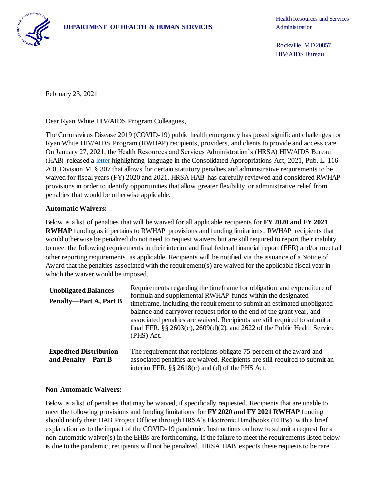

Rockville, MD 20857 HIV/AIDS Bureau

February 23, 2021

Dear Ryan White HIV/AIDS Program Colleagues,

The Coronavirus Disease 2019 (COVID-19) public health emergency has posed significant challenges for Ryan White HIV/AIDS Program (RWHAP) recipients, providers, and clients to provide and access care. On January 27, 2021, the Health Resources and Services Administration's (HRSA) HIV/AIDS Bureau (HAB) released [a letter](https://hab.hrsa.gov/sites/default/files/hab/program-grants-management/COVID-19-programmatic-waivers-letter.pdf) highlighting language in the Consolidated Appropriations Act, 2021, Pub. L. 116- 260, Division M, § 307 that allows for certain statutory penalties and administrative requirements to be waived for fiscal years (FY) 2020 and 2021. HRSA HAB has carefully reviewed and considered RWHAP provisions in order to identify opportunities that allow greater flexibility or administrative relief from penalties that would be otherwise applicable.

## **Automatic Waivers:**

Below is a list of penalties that will be waived for all applicable recipients for **FY 2020 and FY 2021 RWHAP** funding as it pertains to RWHAP provisions and funding limitations. RWHAP recipients that would otherwise be penalized do not need to request waivers but are still required to report their inability to meet the following requirements in their interim and final federal financial report (FFR) and/or meet all other reporting requirements, as applicable. Recipients will be notified via the issuance of a Notice of Award that the penalties associated with the requirement(s) are waived for the applicable fiscal year in which the waiver would be imposed.

| <b>Unobligated Balances</b><br><b>Penalty-Part A, Part B</b> | Requirements regarding the timeframe for obligation and expenditure of<br>formula and supplemental RWHAP funds within the designated<br>time frame, including the requirement to submit an estimated unobligated<br>balance and carryover request prior to the end of the grant year, and<br>associated penalties are waived. Recipients are still required to submit a<br>final FFR. $\S$ $\S$ $2603(c)$ , $2609(d)(2)$ , and $2622$ of the Public Health Service<br>(PHS) Act. |
|--------------------------------------------------------------|----------------------------------------------------------------------------------------------------------------------------------------------------------------------------------------------------------------------------------------------------------------------------------------------------------------------------------------------------------------------------------------------------------------------------------------------------------------------------------|
| <b>Expedited Distribution</b><br>and Penalty-Part B          | The requirement that recipients obligate 75 percent of the award and<br>associated penalties are waived. Recipients are still required to submit an<br>interim FFR. $\S\S 2618(c)$ and (d) of the PHS Act.                                                                                                                                                                                                                                                                       |

## **Non-Automatic Waivers:**

Below is a list of penalties that may be waived, if specifically requested. Recipients that are unable to meet the following provisions and funding limitations for **FY 2020 and FY 2021 RWHAP** funding should notify their HAB Project Officer through HRSA's Electronic Handbooks (EHBs), with a brief explanation as to the impact of the COVID-19 pandemic. Instructions on how to submit a request for a non-automatic waiver(s) in the EHBs are forthcoming. If the failure to meet the requirements listed below is due to the pandemic, recipients will not be penalized. HRSA HAB expects these requests to be rare.